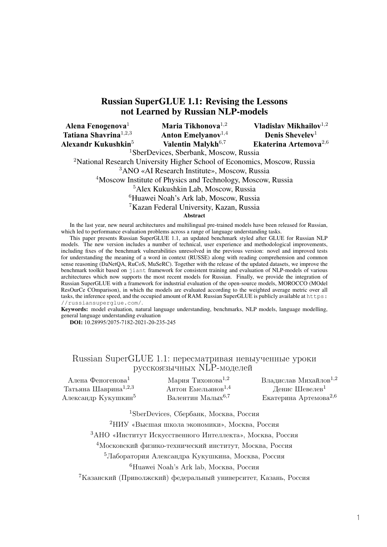# Russian SuperGLUE 1.1: Revising the Lessons not Learned by Russian NLP-models

**Alena Fenogenova**<sup>1</sup> **Tatiana Shavrina**<sup>1</sup>,2,<sup>3</sup> **Alexandr Kukushkin**<sup>5</sup> **Maria Tikhonova**<sup>1</sup>,<sup>2</sup> **Anton Emelyanov**<sup>1</sup>,<sup>4</sup> **Valentin Malykh**<sup>6</sup>,<sup>7</sup> <sup>1</sup>SberDevices, Sberbank, Moscow, Russia <sup>2</sup>National Research University Higher School of Economics, Moscow, Russia <sup>3</sup>ANO «AI Research Institute», Moscow, Russia <sup>4</sup>Moscow Institute of Physics and Technology, Moscow, Russia <sup>5</sup>Alex Kukushkin Lab, Moscow, Russia <sup>6</sup>Huawei Noah's Ark lab, Moscow, Russia <sup>7</sup>Kazan Federal University, Kazan, Russia **Vladislav Mikhailov**<sup>1</sup>,<sup>2</sup> **Denis Shevelev**<sup>1</sup> **Ekaterina Artemova**<sup>2</sup>,<sup>6</sup> Abstract

In the last year, new neural architectures and multilingual pre-trained models have been released for Russian, which led to performance evaluation problems across a range of language understanding tasks.

This paper presents Russian SuperGLUE 1.1, an updated benchmark styled after GLUE for Russian NLP models. The new version includes a number of technical, user experience and methodological improvements, including fixes of the benchmark vulnerabilities unresolved in the previous version: novel and improved tests for understanding the meaning of a word in context (RUSSE) along with reading comprehension and common sense reasoning (DaNetQA, RuCoS, MuSeRC). Together with the release of the updated datasets, we improve the benchmark toolkit based on jiant framework for consistent training and evaluation of NLP-models of various architectures which now supports the most recent models for Russian. Finally, we provide the integration of Russian SuperGLUE with a framework for industrial evaluation of the open-source models, MOROCCO (MOdel ResOurCe COmparison), in which the models are evaluated according to the weighted average metric over all tasks, the inference speed, and the occupied amount of RAM. Russian SuperGLUE is publicly available at https: //russiansuperglue.com/.

Keywords: model evaluation, natural language understanding, benchmarks, NLP models, language modelling, general language understanding evaluation

**DOI:** 10.28995/2075-7182-2021-20-235-245

# Russian SuperGLUE 1.1: пересматривая невыученные уроки русскоязычных NLP-моделей

| Алена Феногенова <sup>1</sup>    | Мария Тихонова <sup>1,2</sup>  | Владислав Михайлов <sup>1,2</sup> |
|----------------------------------|--------------------------------|-----------------------------------|
| Татьяна Шаврина <sup>1,2,3</sup> | Антон Емельянов <sup>1,4</sup> | Денис Шевелев <sup>1</sup>        |
| Александр Кукушкин <sup>5</sup>  | Валентин Малых <sup>6,7</sup>  | Екатерина Артемова <sup>2,6</sup> |

<sup>1</sup>SberDevices, Сбербанк, Москва, Россия

<sup>2</sup>НИУ «Высшая школа экономики», Москва, Россия

<sup>3</sup>АНО «Институт Искусственного Интеллекта», Москва, Россия

<sup>4</sup>Московский физико-технический институт, Москва, Россия

<sup>5</sup>Лаборатория Александра Кукушкина, Москва, Россия

<sup>6</sup>Huawei Noah's Ark lab, Москва, Россия

<sup>7</sup>Казанский (Приволжский) федеральный университет, Казань, Россия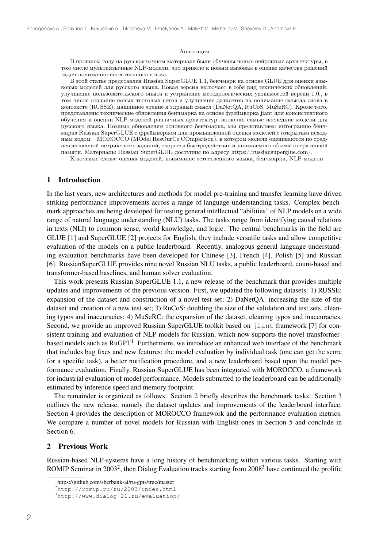#### Аннотация

В прошлом году на русскоязычном материале были обучены новые нейронные архитектуры, в том числе мультиязычные NLP-модели, что привело к новым вызовам в оценке качества решений задач понимания естественного языка.

В этой статье представлен Russian SuperGLUE 1.1, бенчмарк на основе GLUE для оценки языковых моделей для русского языка. Новая версия включает в себя ряд технических обновлений, улучшение пользовательского опыта и устранение методологических уязвимостей версии 1.0., в том числе создание новых тестовых сетов и улучшение датасетов на понимание смысла слова в контексте (RUSSE), машинное чтение и здравый смысл (DaNetQA, RuCoS, MuSeRC). Кроме того, представлены технические обновления бенчмарка на основе фреймворка jiant для консистентного обучения и оценки NLP-моделей различных архитектур, включая самые последние модели для русского языка. Помимо обновления основного бенчмарка, мы представляем интеграцию бенчмарка Russian SuperGLUE с фреймворком для промышленной оценки моделей с открытым исходным кодом – MOROCCO (MOdel ResOurCe COmparison), в котором модели оцениваются по средневзвешенной метрике всех заданий, скорости быстродействия и занимаемого объема оперативной памяти. Материалы Russian SuperGLUE доступны по адресу https://russiansuperglue.com/.

Ключевые слова: оценка моделей, понимание естественного языка, бенчмарки, NLP-модели

### 1 Introduction

In the last years, new architectures and methods for model pre-training and transfer learning have driven striking performance improvements across a range of language understanding tasks. Complex benchmark approaches are being developed for testing general intellectual "abilities" of NLP models on a wide range of natural language understanding (NLU) tasks. The tasks range from identifying causal relations in texts (NLI) to common sense, world knowledge, and logic. The central benchmarks in the field are GLUE [1] and SuperGLUE [2] projects for English, they include versatile tasks and allow competitive evaluation of the models on a public leaderboard. Recently, analogous general language understanding evaluation benchmarks have been developed for Chinese [3], French [4], Polish [5] and Russian [6]. RussianSuperGLUE provides nine novel Russian NLU tasks, a public leaderboard, count-based and transformer-based baselines, and human solver evaluation.

This work presents Russian SuperGLUE 1.1, a new release of the benchmark that provides multiple updates and improvements of the previous version. First, we updated the following datasets: 1) RUSSE: expansion of the dataset and construction of a novel test set; 2) DaNetQA: increasing the size of the dataset and creation of a new test set; 3) RuCoS: doubling the size of the validation and test sets, cleaning typos and inaccuracies; 4) MuSeRC: the expansion of the dataset, cleaning typos and inaccuracies. Second, we provide an improved Russian SuperGLUE toolkit based on  $\dagger$  i ant framework [7] for consistent training and evaluation of NLP models for Russian, which now supports the novel transformerbased models such as  $RuGPT<sup>1</sup>$ . Furthermore, we introduce an enhanced web interface of the benchmark that includes bug fixes and new features: the model evaluation by individual task (one can get the score for a specific task), a better notification procedure, and a new leaderboard based upon the model performance evaluation. Finally, Russian SuperGLUE has been integrated with MOROCCO, a framework for industrial evaluation of model performance. Models submitted to the leaderboard can be additionally estimated by inference speed and memory footprint.

The remainder is organized as follows. Section 2 briefly describes the benchmark tasks. Section 3 outlines the new release, namely the dataset updates and improvements of the leaderboard interface. Section 4 provides the description of MOROCCO framework and the performance evaluation metrics. We compare a number of novel models for Russian with English ones in Section 5 and conclude in Section 6.

### 2 Previous Work

Russian-based NLP-systems have a long history of benchmarking within various tasks. Starting with ROMIP Seminar in 2003<sup>2</sup>, then Dialog Evaluation tracks starting from 2008<sup>3</sup> have continued the prolific

<sup>1</sup> https://github.com/sberbank-ai/ru-gpts/tree/master

<sup>2</sup> http://romip.ru/ru/2003/index.html

<sup>3</sup> http://www.dialog-21.ru/evaluation/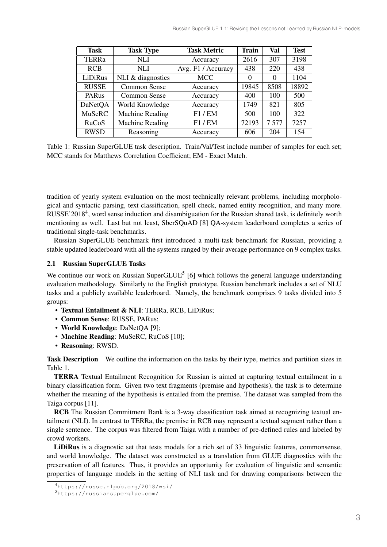| Task           | <b>Task Type</b>  | <b>Task Metric</b> | <b>Train</b> | Val      | <b>Test</b> |
|----------------|-------------------|--------------------|--------------|----------|-------------|
| <b>TERRa</b>   | NLI.              | Accuracy           | 2616         | 307      | 3198        |
| <b>RCB</b>     | <b>NLI</b>        | Avg. F1 / Accuracy | 438          | 220      | 438         |
| LiDiRus        | NLI & diagnostics | <b>MCC</b>         | $\Omega$     | $\Omega$ | 1104        |
| <b>RUSSE</b>   | Common Sense      | Accuracy           | 19845        | 8508     | 18892       |
| <b>PARus</b>   | Common Sense      | Accuracy           | 400          | 100      | 500         |
| <b>DaNetQA</b> | World Knowledge   | Accuracy           | 1749         | 821      | 805         |
| MuSeRC         | Machine Reading   | F1 / EM            | 500          | 100      | 322         |
| RuCoS          | Machine Reading   | F1 / EM            | 72193        | 7577     | 7257        |
| <b>RWSD</b>    | Reasoning         | Accuracy           | 606          | 204      | 154         |

Table 1: Russian SuperGLUE task description. Train/Val/Test include number of samples for each set; MCC stands for Matthews Correlation Coefficient; EM - Exact Match.

tradition of yearly system evaluation on the most technically relevant problems, including morphological and syntactic parsing, text classification, spell check, named entity recognition, and many more. RUSSE'20184, word sense induction and disambiguation for the Russian shared task, is definitely worth mentioning as well. Last but not least, SberSQuAD [8] QA-system leaderboard completes a series of traditional single-task benchmarks.

Russian SuperGLUE benchmark first introduced a multi-task benchmark for Russian, providing a stable updated leaderboard with all the systems ranged by their average performance on 9 complex tasks.

## 2.1 Russian SuperGLUE Tasks

We continue our work on Russian SuperGLUE<sup>5</sup> [6] which follows the general language understanding evaluation methodology. Similarly to the English prototype, Russian benchmark includes a set of NLU tasks and a publicly available leaderboard. Namely, the benchmark comprises 9 tasks divided into 5 groups:

- Textual Entailment & NLI: TERRa, RCB, LiDiRus;
- Common Sense: RUSSE, PARus;
- World Knowledge: DaNetOA [9];
- Machine Reading: MuSeRC, RuCoS [10];
- Reasoning: RWSD.

Task Description We outline the information on the tasks by their type, metrics and partition sizes in Table 1.

TERRA Textual Entailment Recognition for Russian is aimed at capturing textual entailment in a binary classification form. Given two text fragments (premise and hypothesis), the task is to determine whether the meaning of the hypothesis is entailed from the premise. The dataset was sampled from the Taiga corpus [11].

RCB The Russian Commitment Bank is a 3-way classification task aimed at recognizing textual entailment (NLI). In contrast to TERRa, the premise in RCB may represent a textual segment rather than a single sentence. The corpus was filtered from Taiga with a number of pre-defined rules and labeled by crowd workers.

LiDiRus is a diagnostic set that tests models for a rich set of 33 linguistic features, commonsense, and world knowledge. The dataset was constructed as a translation from GLUE diagnostics with the preservation of all features. Thus, it provides an opportunity for evaluation of linguistic and semantic properties of language models in the setting of NLI task and for drawing comparisons between the

<sup>4</sup> https://russe.nlpub.org/2018/wsi/

<sup>5</sup> https://russiansuperglue.com/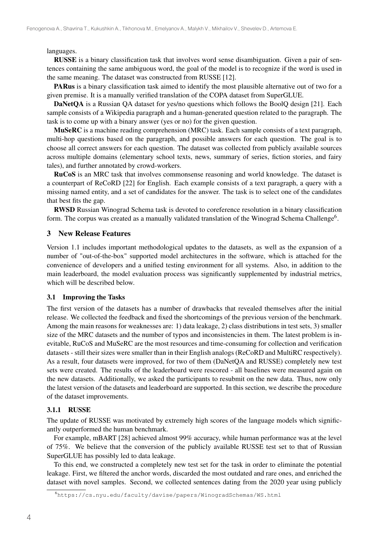languages.

RUSSE is a binary classification task that involves word sense disambiguation. Given a pair of sentences containing the same ambiguous word, the goal of the model is to recognize if the word is used in the same meaning. The dataset was constructed from RUSSE [12].

PARus is a binary classification task aimed to identify the most plausible alternative out of two for a given premise. It is a manually verified translation of the COPA dataset from SuperGLUE.

DaNetQA is a Russian QA dataset for yes/no questions which follows the BoolQ design [21]. Each sample consists of a Wikipedia paragraph and a human-generated question related to the paragraph. The task is to come up with a binary answer (yes or no) for the given question.

MuSeRC is a machine reading comprehension (MRC) task. Each sample consists of a text paragraph, multi-hop questions based on the paragraph, and possible answers for each question. The goal is to choose all correct answers for each question. The dataset was collected from publicly available sources across multiple domains (elementary school texts, news, summary of series, fiction stories, and fairy tales), and further annotated by crowd-workers.

RuCoS is an MRC task that involves commonsense reasoning and world knowledge. The dataset is a counterpart of ReCoRD [22] for English. Each example consists of a text paragraph, a query with a missing named entity, and a set of candidates for the answer. The task is to select one of the candidates that best fits the gap.

RWSD Russian Winograd Schema task is devoted to coreference resolution in a binary classification form. The corpus was created as a manually validated translation of the Winograd Schema Challenge<sup>6</sup>.

### 3 New Release Features

Version 1.1 includes important methodological updates to the datasets, as well as the expansion of a number of "out-of-the-box" supported model architectures in the software, which is attached for the convenience of developers and a unified testing environment for all systems. Also, in addition to the main leaderboard, the model evaluation process was significantly supplemented by industrial metrics, which will be described below.

#### 3.1 Improving the Tasks

The first version of the datasets has a number of drawbacks that revealed themselves after the initial release. We collected the feedback and fixed the shortcomings of the previous version of the benchmark. Among the main reasons for weaknesses are: 1) data leakage, 2) class distributions in test sets, 3) smaller size of the MRC datasets and the number of typos and inconsistencies in them. The latest problem is inevitable, RuCoS and MuSeRC are the most resources and time-consuming for collection and verification datasets - still their sizes were smaller than in their English analogs (ReCoRD and MultiRC respectively). As a result, four datasets were improved, for two of them (DaNetQA and RUSSE) completely new test sets were created. The results of the leaderboard were rescored - all baselines were measured again on the new datasets. Additionally, we asked the participants to resubmit on the new data. Thus, now only the latest version of the datasets and leaderboard are supported. In this section, we describe the procedure of the dataset improvements.

### 3.1.1 RUSSE

The update of RUSSE was motivated by extremely high scores of the language models which significantly outperformed the human benchmark.

For example, mBART [28] achieved almost 99% accuracy, while human performance was at the level of 75%. We believe that the conversion of the publicly available RUSSE test set to that of Russian SuperGLUE has possibly led to data leakage.

To this end, we constructed a completely new test set for the task in order to eliminate the potential leakage. First, we filtered the anchor words, discarded the most outdated and rare ones, and enriched the dataset with novel samples. Second, we collected sentences dating from the 2020 year using publicly

<sup>6</sup> https://cs.nyu.edu/faculty/davise/papers/WinogradSchemas/WS.html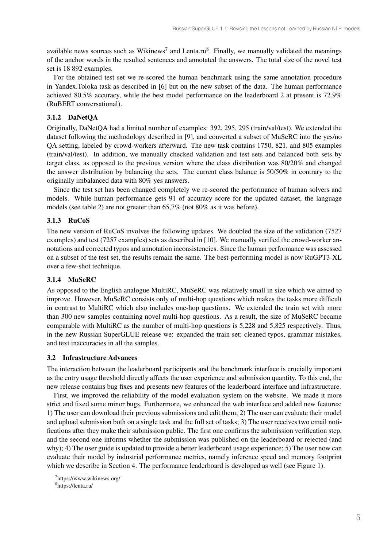available news sources such as Wikinews<sup>7</sup> and Lenta.ru<sup>8</sup>. Finally, we manually validated the meanings of the anchor words in the resulted sentences and annotated the answers. The total size of the novel test set is 18 892 examples.

For the obtained test set we re-scored the human benchmark using the same annotation procedure in Yandex.Toloka task as described in [6] but on the new subset of the data. The human performance achieved 80.5% accuracy, while the best model performance on the leaderboard 2 at present is 72.9% (RuBERT conversational).

# 3.1.2 DaNetQA

Originally, DaNetQA had a limited number of examples: 392, 295, 295 (train/val/test). We extended the dataset following the methodology described in [9], and converted a subset of MuSeRC into the yes/no QA setting, labeled by crowd-workers afterward. The new task contains 1750, 821, and 805 examples (train/val/test). In addition, we manually checked validation and test sets and balanced both sets by target class, as opposed to the previous version where the class distribution was 80/20% and changed the answer distribution by balancing the sets. The current class balance is 50/50% in contrary to the originally imbalanced data with 80% yes answers.

Since the test set has been changed completely we re-scored the performance of human solvers and models. While human performance gets 91 of accuracy score for the updated dataset, the language models (see table 2) are not greater than 65,7% (not 80% as it was before).

# 3.1.3 RuCoS

The new version of RuCoS involves the following updates. We doubled the size of the validation (7527 examples) and test (7257 examples) sets as described in [10]. We manually verified the crowd-worker annotations and corrected typos and annotation inconsistencies. Since the human performance was assessed on a subset of the test set, the results remain the same. The best-performing model is now RuGPT3-XL over a few-shot technique.

# 3.1.4 MuSeRC

As opposed to the English analogue MultiRC, MuSeRC was relatively small in size which we aimed to improve. However, MuSeRC consists only of multi-hop questions which makes the tasks more difficult in contrast to MultiRC which also includes one-hop questions. We extended the train set with more than 300 new samples containing novel multi-hop questions. As a result, the size of MuSeRC became comparable with MultiRC as the number of multi-hop questions is 5,228 and 5,825 respectively. Thus, in the new Russian SuperGLUE release we: expanded the train set; cleaned typos, grammar mistakes, and text inaccuracies in all the samples.

# 3.2 Infrastructure Advances

The interaction between the leaderboard participants and the benchmark interface is crucially important as the entry usage threshold directly affects the user experience and submission quantity. To this end, the new release contains bug fixes and presents new features of the leaderboard interface and infrastructure.

First, we improved the reliability of the model evaluation system on the website. We made it more strict and fixed some minor bugs. Furthermore, we enhanced the web interface and added new features: 1) The user can download their previous submissions and edit them; 2) The user can evaluate their model and upload submission both on a single task and the full set of tasks; 3) The user receives two email notifications after they make their submission public. The first one confirms the submission verification step, and the second one informs whether the submission was published on the leaderboard or rejected (and why); 4) The user guide is updated to provide a better leaderboard usage experience; 5) The user now can evaluate their model by industrial performance metrics, namely inference speed and memory footprint which we describe in Section 4. The performance leaderboard is developed as well (see Figure 1).

<sup>7</sup> https://www.wikinews.org/

<sup>8</sup> https://lenta.ru/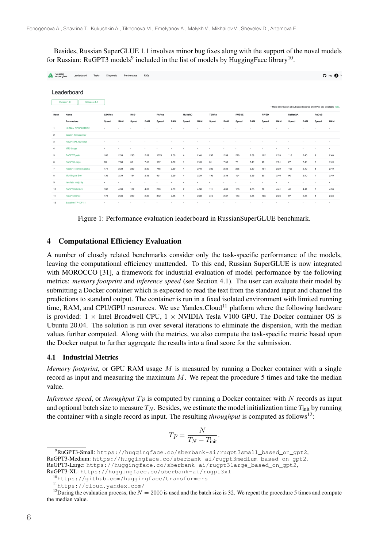Besides, Russian SuperGLUE 1.1 involves minor bug fixes along with the support of the novel models for Russian: RuGPT3 models<sup>9</sup> included in the list of models by HuggingFace library<sup>10</sup>.

| russian<br>superglue     | Tasks<br>Leaderboard                       | Diagnostic |                          | Performance              | FAQ                      |             |      |                |        |       |      |                          |      |                          |                          |                |      |                          | $Q$ RU $Q$ LC                                                     |
|--------------------------|--------------------------------------------|------------|--------------------------|--------------------------|--------------------------|-------------|------|----------------|--------|-------|------|--------------------------|------|--------------------------|--------------------------|----------------|------|--------------------------|-------------------------------------------------------------------|
|                          | Leaderboard<br>Scores v.1.1<br>Version 1.0 |            |                          |                          |                          |             |      |                |        |       |      |                          |      |                          |                          |                |      |                          | * More information about speed scores and RAM are available here. |
| Rank                     | Name                                       | LiDiRus    |                          | <b>RCB</b>               |                          | PARus       |      | <b>MuSeRC</b>  |        | TERRa |      | <b>RUSSE</b>             |      | RWSD                     |                          | <b>DaNetQA</b> |      | RuCoS                    |                                                                   |
|                          | Parameters                                 | Speed      | RAM                      | Speed                    | RAM                      | Speed       | RAM  | Speed          | RAM    | Speed | RAM  | Speed                    | RAM  | Speed                    | RAM                      | Speed          | RAM  | Speed                    | RAM                                                               |
| $\overline{1}$           | <b>HUMAN BENCHMARK</b>                     | ٠          | ٠                        |                          |                          |             |      |                |        |       |      | $\overline{\phantom{a}}$ |      |                          |                          |                |      | $\overline{\phantom{a}}$ | ٠                                                                 |
| $\overline{c}$           | <b>Golden Transformer</b>                  | ٠          |                          |                          |                          |             |      |                |        |       |      |                          |      |                          |                          |                |      |                          | ٠                                                                 |
| 3                        | RuGPT3XL few-shot                          | ٠          |                          |                          |                          |             |      |                |        |       |      |                          |      |                          |                          |                |      |                          | ٠                                                                 |
| $\overline{4}$           | MT5 Large                                  |            | $\overline{\phantom{a}}$ | $\overline{\phantom{a}}$ | $\overline{\phantom{a}}$ | <b>1979</b> | ٠    | ٠              | $\sim$ | ٠     | ٠    | $\overline{a}$           |      | ٠                        | $\overline{\phantom{a}}$ |                | ×    | ۰.                       | ٠                                                                 |
| 5                        | <b>RuBERT</b> plain                        | 165        | 2.39                     | 295                      | 2.39                     | 1070        | 2.39 | $\overline{4}$ | 2.40   | 297   | 2.39 | 226                      | 2.39 | 102                      | 2.39                     | 118            | 2.40 | 9                        | 2.40                                                              |
| 6                        | RuGPT3Large                                | 69         | 7.50                     | 53                       | 7.50                     | 137         | 7.50 | $\overline{1}$ | 7.49   | 61    | 7.50 | 75                       | 7.49 | 49                       | 7.51                     | 27             | 7.49 | $\sqrt{2}$               | 7.49                                                              |
| $\overline{\phantom{a}}$ | <b>RuBERT</b> conversational               | 171        | 2.39                     | 289                      | 2.39                     | 718         | 2.39 | $\ddot{4}$     | 2.40   | 302   | 2.39 | 255                      | 2.39 | 101                      | 2.39                     | 103            | 2.40 | 8                        | 2.40                                                              |
| 8                        | <b>Multilingual Bert</b>                   | 136        | 2.39                     | 194                      | 2.39                     | 451         | 2.39 | $\overline{4}$ | 2.39   | 195   | 2.39 | 164                      | 2.39 | 85                       | 2.40                     | 90             | 2.40 | 7                        | 2.40                                                              |
| 9                        | heuristic majority                         | $\sim$     | ٠                        |                          |                          |             | ٠    | ٠              |        |       | ٠    |                          |      | $\overline{\phantom{a}}$ | $\sim$                   |                |      | ٠                        | ٠                                                                 |
| 10                       | RuGPT3Medium                               | 106        | 4.39                     | 102                      | 4.39                     | 270         | 4.39 | $\overline{c}$ | 4.38   | 111   | 4.39 | 106                      | 4.38 | 70                       | 4.41                     | 45             | 4.41 | $\mathbf 3$              | 4.38                                                              |
| 11                       | RuGPT3Small                                | 176        | 2.36                     | 289                      | 2.37                     | 872         | 2.36 | $\overline{4}$ | 2.38   | 319   | 2.37 | 163                      | 2.36 | 105                      | 2.36                     | 97             | 2.38 | 8                        | 2.38                                                              |
| 12                       | Baseline TF-IDF1.1                         |            |                          |                          |                          |             |      |                |        |       |      |                          |      |                          |                          |                |      |                          | ٠                                                                 |

Figure 1: Performance evaluation leaderboard in RussianSuperGLUE benchmark.

### 4 Computational Efficiency Evaluation

A number of closely related benchmarks consider only the task-specific performance of the models, leaving the computational efficiency unattended. To this end, Russian SuperGLUE is now integrated with MOROCCO [31], a framework for industrial evaluation of model performance by the following metrics: *memory footprint* and *inference speed* (see Section 4.1). The user can evaluate their model by submitting a Docker container which is expected to read the text from the standard input and channel the predictions to standard output. The container is run in a fixed isolated environment with limited running time, RAM, and CPU/GPU resources. We use Yandex.Cloud<sup>11</sup> platform where the following hardware is provided:  $1 \times$  Intel Broadwell CPU,  $1 \times$  NVIDIA Tesla V100 GPU. The Docker container OS is Ubuntu 20.04. The solution is run over several iterations to eliminate the dispersion, with the median values further computed. Along with the metrics, we also compute the task-specific metric based upon the Docker output to further aggregate the results into a final score for the submission.

#### 4.1 Industrial Metrics

*Memory footprint*, or GPU RAM usage  $M$  is measured by running a Docker container with a single record as input and measuring the maximum  $M$ . We repeat the procedure 5 times and take the median value.

*Inference speed,* or *throughput*  $Tp$  is computed by running a Docker container with  $N$  records as input and optional batch size to measure  $T_N$ . Besides, we estimate the model initialization time  $T_{init}$  by running the container with a single record as input. The resulting *throughput* is computed as follows<sup>12</sup>:

$$
Tp = \frac{N}{T_N - T_{\text{init}}}
$$

.

<sup>9</sup> RuGPT3-Small: https://huggingface.co/sberbank-ai/rugpt3small\_based\_on\_gpt2, RuGPT3-Medium: https://huggingface.co/sberbank-ai/rugpt3medium\_based\_on\_gpt2, RuGPT3-Large: https://huggingface.co/sberbank-ai/rugpt3large\_based\_on\_gpt2, RuGPT3-XL: https://huggingface.co/sberbank-ai/rugpt3xl

<sup>10</sup>https://github.com/huggingface/transformers

<sup>11</sup>https://cloud.yandex.com/

<sup>&</sup>lt;sup>12</sup>During the evaluation process, the  $N = 2000$  is used and the batch size is 32. We repeat the procedure 5 times and compute the median value.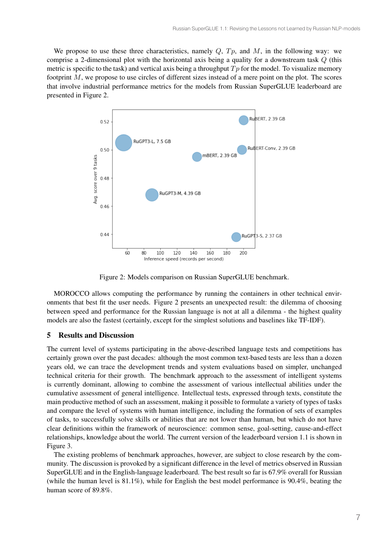We propose to use these three characteristics, namely  $Q$ ,  $Tp$ , and  $M$ , in the following way: we comprise a 2-dimensional plot with the horizontal axis being a quality for a downstream task  $Q$  (this metric is specific to the task) and vertical axis being a throughput  $Tp$  for the model. To visualize memory footprint  $M$ , we propose to use circles of different sizes instead of a mere point on the plot. The scores that involve industrial performance metrics for the models from Russian SuperGLUE leaderboard are presented in Figure 2.



Figure 2: Models comparison on Russian SuperGLUE benchmark.

MOROCCO allows computing the performance by running the containers in other technical environments that best fit the user needs. Figure 2 presents an unexpected result: the dilemma of choosing between speed and performance for the Russian language is not at all a dilemma - the highest quality models are also the fastest (certainly, except for the simplest solutions and baselines like TF-IDF).

### 5 Results and Discussion

The current level of systems participating in the above-described language tests and competitions has certainly grown over the past decades: although the most common text-based tests are less than a dozen years old, we can trace the development trends and system evaluations based on simpler, unchanged technical criteria for their growth. The benchmark approach to the assessment of intelligent systems is currently dominant, allowing to combine the assessment of various intellectual abilities under the cumulative assessment of general intelligence. Intellectual tests, expressed through texts, constitute the main productive method of such an assessment, making it possible to formulate a variety of types of tasks and compare the level of systems with human intelligence, including the formation of sets of examples of tasks, to successfully solve skills or abilities that are not lower than human, but which do not have clear definitions within the framework of neuroscience: common sense, goal-setting, cause-and-effect relationships, knowledge about the world. The current version of the leaderboard version 1.1 is shown in Figure 3.

The existing problems of benchmark approaches, however, are subject to close research by the community. The discussion is provoked by a significant difference in the level of metrics observed in Russian SuperGLUE and in the English-language leaderboard. The best result so far is 67.9% overall for Russian (while the human level is  $81.1\%$ ), while for English the best model performance is  $90.4\%$ , beating the human score of 89.8%.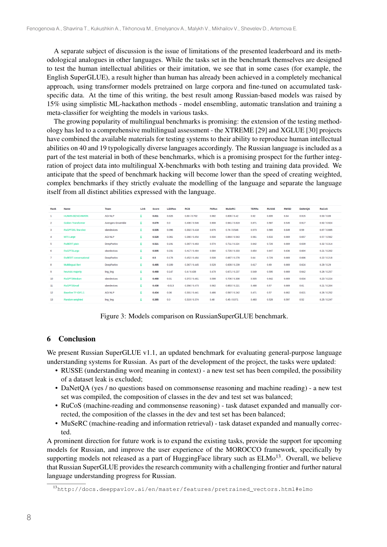A separate subject of discussion is the issue of limitations of the presented leaderboard and its methodological analogues in other languages. While the tasks set in the benchmark themselves are designed to test the human intellectual abilities or their imitation, we see that in some cases (for example, the English SuperGLUE), a result higher than human has already been achieved in a completely mechanical approach, using transformer models pretrained on large corpora and fine-tuned on accumulated taskspecific data. At the time of this writing, the best result among Russian-based models was raised by 15% using simplistic ML-hackathon methods - model ensembling, automatic translation and training a meta-classifier for weighting the models in various tasks.

The growing popularity of multilingual benchmarks is promising: the extension of the testing methodology has led to a comprehensive multilingual assessment - the XTREME [29] and XGLUE [30] projects have combined the available materials for testing systems to their ability to reproduce human intellectual abilities on 40 and 19 typologically diverse languages accordingly. The Russian language is included as a part of the test material in both of these benchmarks, which is a promising prospect for the further integration of project data into multilingual X-benchmarks with both testing and training data provided. We anticipate that the speed of benchmark hacking will become lower than the speed of creating weighted, complex benchmarks if they strictly evaluate the modelling of the language and separate the language itself from all distinct abilities expressed with the language.

| Rank           | <b>Name</b>                  | <b>Team</b>              | Link | <b>Score</b> | <b>LiDiRus</b> | <b>RCB</b>    | <b>PARus</b> | <b>MuSeRC</b> | <b>TERRa</b> | <b>RUSSE</b> | <b>RWSD</b> | <b>DaNetOA</b> | <b>RuCoS</b> |
|----------------|------------------------------|--------------------------|------|--------------|----------------|---------------|--------------|---------------|--------------|--------------|-------------|----------------|--------------|
| 1              | <b>HUMAN BENCHMARK</b>       | <b>AGI NLP</b>           |      | 0.811        | 0.626          | 0.68 / 0.702  | 0.982        | 0.806/0.42    | 0.92         | 0.805        | 0.84        | 0.915          | 0.93/0.89    |
| $\overline{2}$ | <b>Golden Transformer</b>    | <b>Avengers Ensemble</b> |      | 0.679        | 0.0            | 0.406 / 0.546 | 0.908        | 0.941/0.819   | 0.871        | 0.587        | 0.545       | 0.917          | 0.9210.924   |
| 3              | RuGPT3XL few-shot            | sberdevices              |      | 0.535        | 0.096          | 0.302/0.418   | 0.676        | 0.74/0.546    | 0.573        | 0.565        | 0.649       | 0.59           | 0.67 / 0.665 |
| 4              | MT5 Large                    | <b>AGI NLP</b>           |      | 0.528        | 0.061          | 0.366 / 0.454 | 0.504        | 0.844 / 0.543 | 0.561        | 0.633        | 0.669       | 0.657          | 0.57/0.562   |
| 5              | <b>RuBERT</b> plain          | <b>DeepPavlov</b>        |      | 0.521        | 0.191          | 0.367/0.463   | 0.574        | 0.711/0.324   | 0.642        | 0.726        | 0.669       | 0.639          | 0.32 / 0.314 |
| 6              | <b>RuGPT3Large</b>           | sberdevices              |      | 0.505        | 0.231          | 0.417/0.484   | 0.584        | 0.729/0.333   | 0.654        | 0.647        | 0.636       | 0.604          | 0.21 / 0.202 |
| $\overline{7}$ | <b>RuBERT</b> conversational | <b>DeepPavlov</b>        |      | 0.5          | 0.178          | 0.452/0.484   | 0.508        | 0.687/0.278   | 0.64         | 0.729        | 0.669       | 0.606          | 0.2210.218   |
| 8              | <b>Multilingual Bert</b>     | <b>DeepPavlov</b>        |      | 0.495        | 0.189          | 0.367 / 0.445 | 0.528        | 0.639 / 0.239 | 0.617        | 0.69         | 0.669       | 0.624          | 0.2910.29    |
| 9              | heuristic majority           | ling ling                |      | 0.468        | 0.147          | 0.4/0.438     | 0.478        | 0.671/0.237   | 0.549        | 0.595        | 0.669       | 0.642          | 0.26/0.257   |
| 10             | <b>RuGPT3Medium</b>          | sberdevices              |      | 0.468        | 0.01           | 0.372/0.461   | 0.598        | 0.706 / 0.308 | 0.505        | 0.642        | 0.669       | 0.634          | 0.2310.224   |
| 11             | <b>RuGPT3Small</b>           | sberdevices              |      | 0.438        | $-0.013$       | 0.356 / 0.473 | 0.562        | 0.653/0.221   | 0.488        | 0.57         | 0.669       | 0.61           | 0.21/0.204   |
| 12             | Baseline TF-IDF1.1           | <b>AGI NLP</b>           |      | 0.434        | 0.06           | 0.301/0.441   | 0.486        | 0.587/0.242   | 0.471        | 0.57         | 0.662       | 0.621          | 0.26/0.252   |
| 13             | Random weighted              | ling ling                |      | 0.385        | 0.0            | 0.319 / 0.374 | 0.48         | 0.45/0.071    | 0.483        | 0.528        | 0.597       | 0.52           | 0.2510.247   |
|                |                              |                          |      |              |                |               |              |               |              |              |             |                |              |

Figure 3: Models comparison on RussianSuperGLUE benchmark.

### 6 Conclusion

We present Russian SuperGLUE v1.1, an updated benchmark for evaluating general-purpose language understanding systems for Russian. As part of the development of the project, the tasks were updated:

- RUSSE (understanding word meaning in context) a new test set has been compiled, the possibility of a dataset leak is excluded;
- DaNetOA (yes / no questions based on commonsense reasoning and machine reading) a new test set was compiled, the composition of classes in the dev and test set was balanced;
- RuCoS (machine-reading and commonsense reasoning) task dataset expanded and manually corrected, the composition of the classes in the dev and test set has been balanced;
- MuSeRC (machine-reading and information retrieval) task dataset expanded and manually corrected.

A prominent direction for future work is to expand the existing tasks, provide the support for upcoming models for Russian, and improve the user experience of the MOROCCO framework, specifically by supporting models not released as a part of HuggingFace library such as  $ELMo<sup>13</sup>$ . Overall, we believe that Russian SuperGLUE provides the research community with a challenging frontier and further natural language understanding progress for Russian.

<sup>13</sup>http://docs.deeppavlov.ai/en/master/features/pretrained\_vectors.html#elmo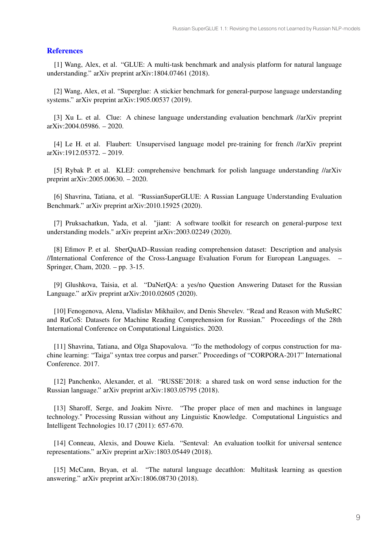### **References**

[1] Wang, Alex, et al. "GLUE: A multi-task benchmark and analysis platform for natural language understanding." arXiv preprint arXiv:1804.07461 (2018).

[2] Wang, Alex, et al. "Superglue: A stickier benchmark for general-purpose language understanding systems." arXiv preprint arXiv:1905.00537 (2019).

[3] Xu L. et al. Clue: A chinese language understanding evaluation benchmark //arXiv preprint arXiv:2004.05986. – 2020.

[4] Le H. et al. Flaubert: Unsupervised language model pre-training for french //arXiv preprint arXiv:1912.05372. – 2019.

[5] Rybak P. et al. KLEJ: comprehensive benchmark for polish language understanding //arXiv preprint arXiv:2005.00630. – 2020.

[6] Shavrina, Tatiana, et al. "RussianSuperGLUE: A Russian Language Understanding Evaluation Benchmark." arXiv preprint arXiv:2010.15925 (2020).

[7] Pruksachatkun, Yada, et al. "jiant: A software toolkit for research on general-purpose text understanding models." arXiv preprint arXiv:2003.02249 (2020).

[8] Efimov P. et al. SberQuAD–Russian reading comprehension dataset: Description and analysis //International Conference of the Cross-Language Evaluation Forum for European Languages. – Springer, Cham, 2020. – pp. 3-15.

[9] Glushkova, Taisia, et al. "DaNetQA: a yes/no Question Answering Dataset for the Russian Language." arXiv preprint arXiv:2010.02605 (2020).

[10] Fenogenova, Alena, Vladislav Mikhailov, and Denis Shevelev. "Read and Reason with MuSeRC and RuCoS: Datasets for Machine Reading Comprehension for Russian." Proceedings of the 28th International Conference on Computational Linguistics. 2020.

[11] Shavrina, Tatiana, and Olga Shapovalova. "To the methodology of corpus construction for machine learning: "Taiga" syntax tree corpus and parser." Proceedings of "CORPORA-2017" International Conference. 2017.

[12] Panchenko, Alexander, et al. "RUSSE'2018: a shared task on word sense induction for the Russian language." arXiv preprint arXiv:1803.05795 (2018).

[13] Sharoff, Serge, and Joakim Nivre. "The proper place of men and machines in language technology." Processing Russian without any Linguistic Knowledge. Computational Linguistics and Intelligent Technologies 10.17 (2011): 657-670.

[14] Conneau, Alexis, and Douwe Kiela. "Senteval: An evaluation toolkit for universal sentence representations." arXiv preprint arXiv:1803.05449 (2018).

[15] McCann, Bryan, et al. "The natural language decathlon: Multitask learning as question answering." arXiv preprint arXiv:1806.08730 (2018).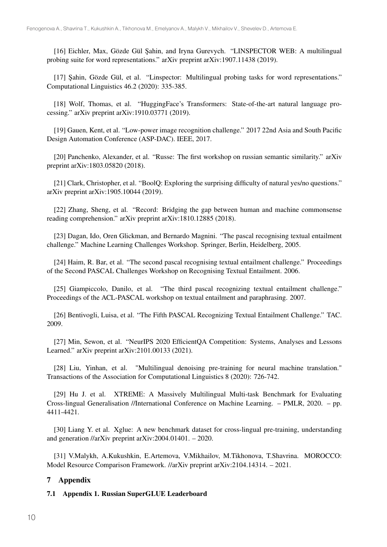[16] Eichler, Max, Gözde Gül Şahin, and Iryna Gurevych. "LINSPECTOR WEB: A multilingual probing suite for word representations." arXiv preprint arXiv:1907.11438 (2019).

[17] Şahin, Gözde Gül, et al. "Linspector: Multilingual probing tasks for word representations." Computational Linguistics 46.2 (2020): 335-385.

[18] Wolf, Thomas, et al. "HuggingFace's Transformers: State-of-the-art natural language processing." arXiv preprint arXiv:1910.03771 (2019).

[19] Gauen, Kent, et al. "Low-power image recognition challenge." 2017 22nd Asia and South Pacific Design Automation Conference (ASP-DAC). IEEE, 2017.

[20] Panchenko, Alexander, et al. "Russe: The first workshop on russian semantic similarity." arXiv preprint arXiv:1803.05820 (2018).

[21] Clark, Christopher, et al. "BoolQ: Exploring the surprising difficulty of natural yes/no questions." arXiv preprint arXiv:1905.10044 (2019).

[22] Zhang, Sheng, et al. "Record: Bridging the gap between human and machine commonsense reading comprehension." arXiv preprint arXiv:1810.12885 (2018).

[23] Dagan, Ido, Oren Glickman, and Bernardo Magnini. "The pascal recognising textual entailment challenge." Machine Learning Challenges Workshop. Springer, Berlin, Heidelberg, 2005.

[24] Haim, R. Bar, et al. "The second pascal recognising textual entailment challenge." Proceedings of the Second PASCAL Challenges Workshop on Recognising Textual Entailment. 2006.

[25] Giampiccolo, Danilo, et al. "The third pascal recognizing textual entailment challenge." Proceedings of the ACL-PASCAL workshop on textual entailment and paraphrasing. 2007.

[26] Bentivogli, Luisa, et al. "The Fifth PASCAL Recognizing Textual Entailment Challenge." TAC. 2009.

[27] Min, Sewon, et al. "NeurIPS 2020 EfficientQA Competition: Systems, Analyses and Lessons Learned." arXiv preprint arXiv:2101.00133 (2021).

[28] Liu, Yinhan, et al. "Multilingual denoising pre-training for neural machine translation." Transactions of the Association for Computational Linguistics 8 (2020): 726-742.

[29] Hu J. et al. XTREME: A Massively Multilingual Multi-task Benchmark for Evaluating Cross-lingual Generalisation //International Conference on Machine Learning. – PMLR, 2020. – pp. 4411-4421.

[30] Liang Y. et al. Xglue: A new benchmark dataset for cross-lingual pre-training, understanding and generation //arXiv preprint arXiv:2004.01401. – 2020.

[31] V.Malykh, A.Kukushkin, E.Artemova, V.Mikhailov, M.Tikhonova, T.Shavrina. MOROCCO: Model Resource Comparison Framework. //arXiv preprint arXiv:2104.14314. – 2021.

### 7 Appendix

#### 7.1 Appendix 1. Russian SuperGLUE Leaderboard